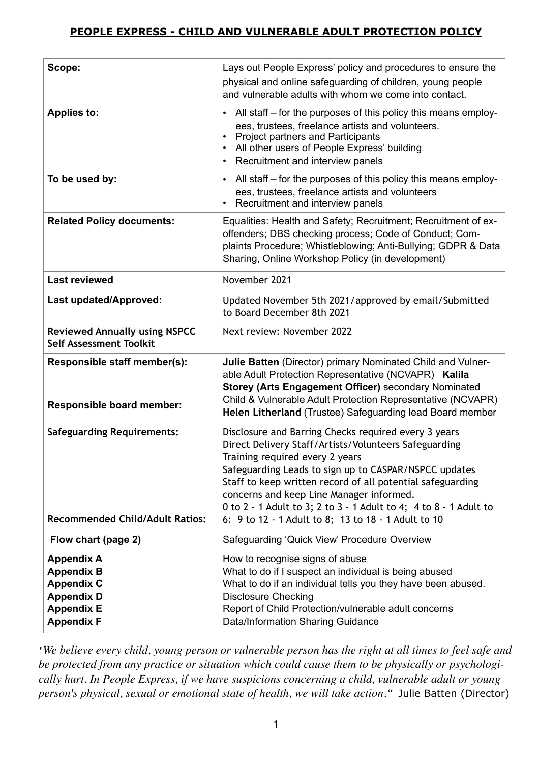# **PEOPLE EXPRESS - CHILD AND VULNERABLE ADULT PROTECTION POLICY**

| Scope:                                                                                                                     | Lays out People Express' policy and procedures to ensure the<br>physical and online safeguarding of children, young people<br>and vulnerable adults with whom we come into contact.                                                                                                                                                                                                                                                             |
|----------------------------------------------------------------------------------------------------------------------------|-------------------------------------------------------------------------------------------------------------------------------------------------------------------------------------------------------------------------------------------------------------------------------------------------------------------------------------------------------------------------------------------------------------------------------------------------|
| <b>Applies to:</b>                                                                                                         | All staff – for the purposes of this policy this means employ-<br>$\bullet$<br>ees, trustees, freelance artists and volunteers.<br><b>Project partners and Participants</b><br>All other users of People Express' building<br>$\bullet$<br>Recruitment and interview panels<br>$\bullet$                                                                                                                                                        |
| To be used by:                                                                                                             | All staff – for the purposes of this policy this means employ-<br>$\bullet$<br>ees, trustees, freelance artists and volunteers<br>Recruitment and interview panels                                                                                                                                                                                                                                                                              |
| <b>Related Policy documents:</b>                                                                                           | Equalities: Health and Safety; Recruitment; Recruitment of ex-<br>offenders; DBS checking process; Code of Conduct; Com-<br>plaints Procedure; Whistleblowing; Anti-Bullying; GDPR & Data<br>Sharing, Online Workshop Policy (in development)                                                                                                                                                                                                   |
| <b>Last reviewed</b>                                                                                                       | November 2021                                                                                                                                                                                                                                                                                                                                                                                                                                   |
| Last updated/Approved:                                                                                                     | Updated November 5th 2021/approved by email/Submitted<br>to Board December 8th 2021                                                                                                                                                                                                                                                                                                                                                             |
| <b>Reviewed Annually using NSPCC</b><br><b>Self Assessment Toolkit</b>                                                     | Next review: November 2022                                                                                                                                                                                                                                                                                                                                                                                                                      |
| Responsible staff member(s):<br>Responsible board member:                                                                  | Julie Batten (Director) primary Nominated Child and Vulner-<br>able Adult Protection Representative (NCVAPR) Kalila<br>Storey (Arts Engagement Officer) secondary Nominated<br>Child & Vulnerable Adult Protection Representative (NCVAPR)<br>Helen Litherland (Trustee) Safeguarding lead Board member                                                                                                                                         |
| <b>Safeguarding Requirements:</b><br><b>Recommended Child/Adult Ratios:</b>                                                | Disclosure and Barring Checks required every 3 years<br>Direct Delivery Staff/Artists/Volunteers Safeguarding<br>Training required every 2 years<br>Safeguarding Leads to sign up to CASPAR/NSPCC updates<br>Staff to keep written record of all potential safeguarding<br>concerns and keep Line Manager informed.<br>0 to 2 - 1 Adult to 3; 2 to 3 - 1 Adult to 4; 4 to 8 - 1 Adult to<br>6: 9 to 12 - 1 Adult to 8; 13 to 18 - 1 Adult to 10 |
| Flow chart (page 2)                                                                                                        | Safeguarding 'Quick View' Procedure Overview                                                                                                                                                                                                                                                                                                                                                                                                    |
| <b>Appendix A</b><br><b>Appendix B</b><br><b>Appendix C</b><br><b>Appendix D</b><br><b>Appendix E</b><br><b>Appendix F</b> | How to recognise signs of abuse<br>What to do if I suspect an individual is being abused<br>What to do if an individual tells you they have been abused.<br><b>Disclosure Checking</b><br>Report of Child Protection/vulnerable adult concerns<br>Data/Information Sharing Guidance                                                                                                                                                             |

*"We believe every child, young person or vulnerable person has the right at all times to feel safe and be protected from any practice or situation which could cause them to be physically or psychologically hurt. In People Express, if we have suspicions concerning a child, vulnerable adult or young person's physical, sexual or emotional state of health, we will take action."* Julie Batten (Director)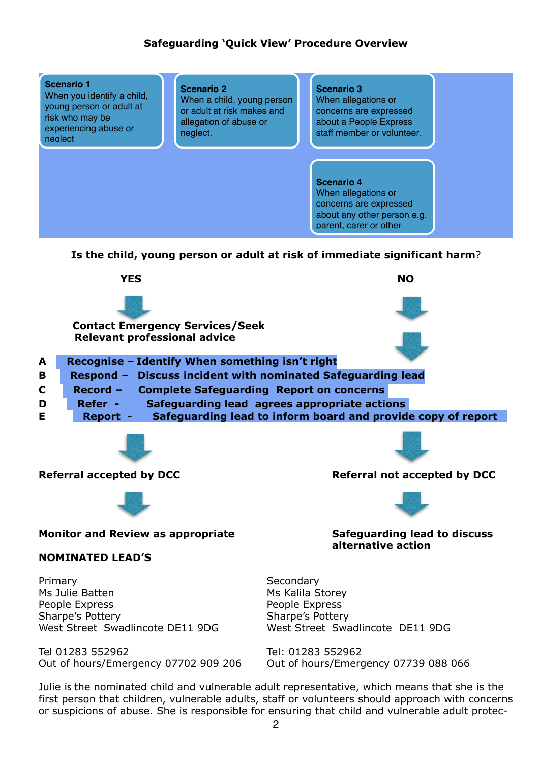## **Safeguarding 'Quick View' Procedure Overview**



first person that children, vulnerable adults, staff or volunteers should approach with concerns or suspicions of abuse. She is responsible for ensuring that child and vulnerable adult protec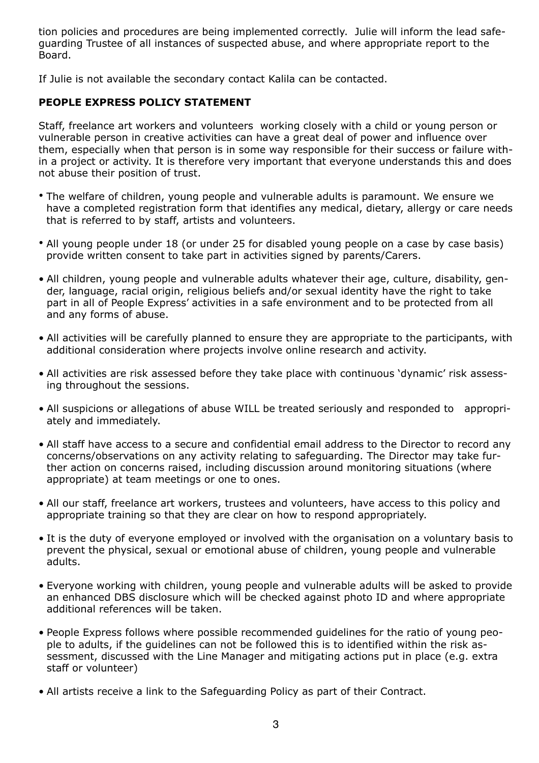tion policies and procedures are being implemented correctly. Julie will inform the lead safeguarding Trustee of all instances of suspected abuse, and where appropriate report to the Board.

If Julie is not available the secondary contact Kalila can be contacted.

## **PEOPLE EXPRESS POLICY STATEMENT**

Staff, freelance art workers and volunteers working closely with a child or young person or vulnerable person in creative activities can have a great deal of power and influence over them, especially when that person is in some way responsible for their success or failure within a project or activity. It is therefore very important that everyone understands this and does not abuse their position of trust.

- The welfare of children, young people and vulnerable adults is paramount. We ensure we have a completed registration form that identifies any medical, dietary, allergy or care needs that is referred to by staff, artists and volunteers.
- All young people under 18 (or under 25 for disabled young people on a case by case basis) provide written consent to take part in activities signed by parents/Carers.
- All children, young people and vulnerable adults whatever their age, culture, disability, gender, language, racial origin, religious beliefs and/or sexual identity have the right to take part in all of People Express' activities in a safe environment and to be protected from all and any forms of abuse.
- All activities will be carefully planned to ensure they are appropriate to the participants, with additional consideration where projects involve online research and activity.
- All activities are risk assessed before they take place with continuous 'dynamic' risk assessing throughout the sessions.
- All suspicions or allegations of abuse WILL be treated seriously and responded to appropriately and immediately.
- All staff have access to a secure and confidential email address to the Director to record any concerns/observations on any activity relating to safeguarding. The Director may take further action on concerns raised, including discussion around monitoring situations (where appropriate) at team meetings or one to ones.
- All our staff, freelance art workers, trustees and volunteers, have access to this policy and appropriate training so that they are clear on how to respond appropriately.
- It is the duty of everyone employed or involved with the organisation on a voluntary basis to prevent the physical, sexual or emotional abuse of children, young people and vulnerable adults.
- Everyone working with children, young people and vulnerable adults will be asked to provide an enhanced DBS disclosure which will be checked against photo ID and where appropriate additional references will be taken.
- People Express follows where possible recommended guidelines for the ratio of young people to adults, if the guidelines can not be followed this is to identified within the risk assessment, discussed with the Line Manager and mitigating actions put in place (e.g. extra staff or volunteer)
- All artists receive a link to the Safeguarding Policy as part of their Contract.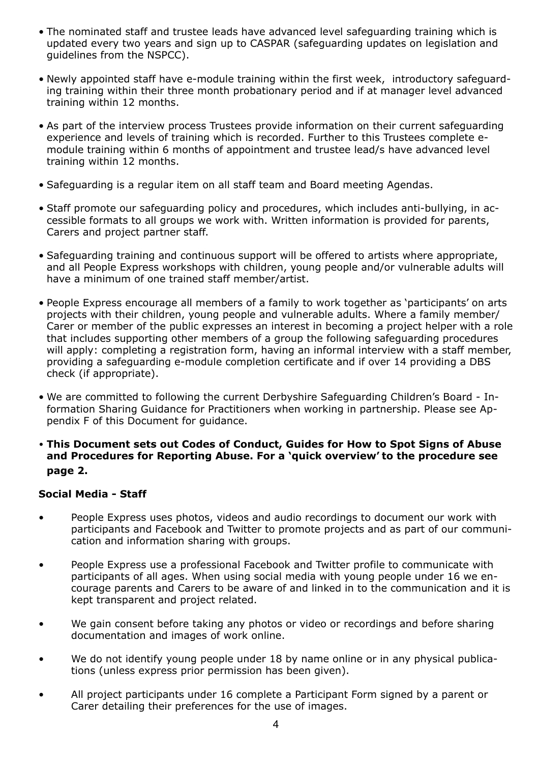- The nominated staff and trustee leads have advanced level safeguarding training which is updated every two years and sign up to CASPAR (safeguarding updates on legislation and guidelines from the NSPCC).
- Newly appointed staff have e-module training within the first week, introductory safeguarding training within their three month probationary period and if at manager level advanced training within 12 months.
- As part of the interview process Trustees provide information on their current safeguarding experience and levels of training which is recorded. Further to this Trustees complete emodule training within 6 months of appointment and trustee lead/s have advanced level training within 12 months.
- Safeguarding is a regular item on all staff team and Board meeting Agendas.
- Staff promote our safeguarding policy and procedures, which includes anti-bullying, in accessible formats to all groups we work with. Written information is provided for parents, Carers and project partner staff.
- Safeguarding training and continuous support will be offered to artists where appropriate, and all People Express workshops with children, young people and/or vulnerable adults will have a minimum of one trained staff member/artist.
- People Express encourage all members of a family to work together as 'participants' on arts projects with their children, young people and vulnerable adults. Where a family member/ Carer or member of the public expresses an interest in becoming a project helper with a role that includes supporting other members of a group the following safeguarding procedures will apply: completing a registration form, having an informal interview with a staff member, providing a safeguarding e-module completion certificate and if over 14 providing a DBS check (if appropriate).
- We are committed to following the current Derbyshire Safeguarding Children's Board Information Sharing Guidance for Practitioners when working in partnership. Please see Appendix F of this Document for guidance.
- **• This Document sets out Codes of Conduct, Guides for How to Spot Signs of Abuse and Procedures for Reporting Abuse. For a 'quick overview' to the procedure see page 2.**

### **Social Media - Staff**

- People Express uses photos, videos and audio recordings to document our work with participants and Facebook and Twitter to promote projects and as part of our communication and information sharing with groups.
- People Express use a professional Facebook and Twitter profile to communicate with participants of all ages. When using social media with young people under 16 we encourage parents and Carers to be aware of and linked in to the communication and it is kept transparent and project related.
- We gain consent before taking any photos or video or recordings and before sharing documentation and images of work online.
- We do not identify young people under 18 by name online or in any physical publications (unless express prior permission has been given).
- All project participants under 16 complete a Participant Form signed by a parent or Carer detailing their preferences for the use of images.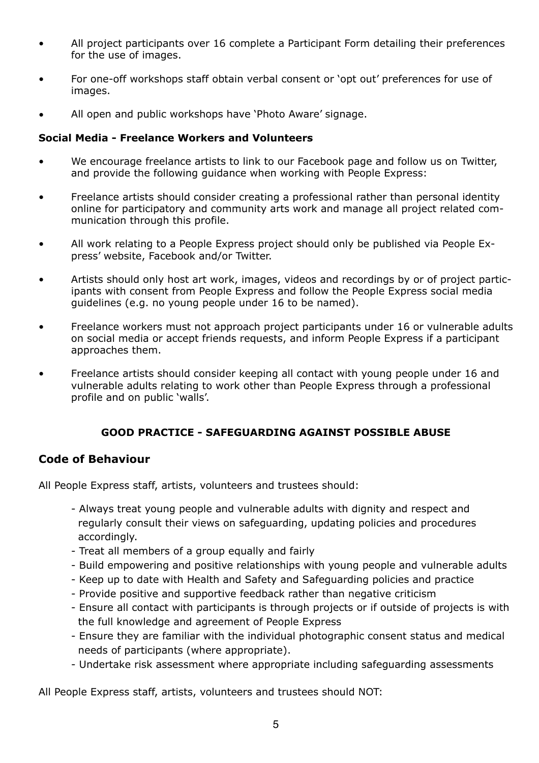- All project participants over 16 complete a Participant Form detailing their preferences for the use of images.
- For one-off workshops staff obtain verbal consent or 'opt out' preferences for use of images.
- All open and public workshops have 'Photo Aware' signage.

#### **Social Media - Freelance Workers and Volunteers**

- We encourage freelance artists to link to our Facebook page and follow us on Twitter, and provide the following guidance when working with People Express:
- Freelance artists should consider creating a professional rather than personal identity online for participatory and community arts work and manage all project related communication through this profile.
- All work relating to a People Express project should only be published via People Express' website, Facebook and/or Twitter.
- Artists should only host art work, images, videos and recordings by or of project participants with consent from People Express and follow the People Express social media guidelines (e.g. no young people under 16 to be named).
- Freelance workers must not approach project participants under 16 or vulnerable adults on social media or accept friends requests, and inform People Express if a participant approaches them.
- Freelance artists should consider keeping all contact with young people under 16 and vulnerable adults relating to work other than People Express through a professional profile and on public 'walls'.

## **GOOD PRACTICE - SAFEGUARDING AGAINST POSSIBLE ABUSE**

# **Code of Behaviour**

All People Express staff, artists, volunteers and trustees should:

- Always treat young people and vulnerable adults with dignity and respect and regularly consult their views on safeguarding, updating policies and procedures accordingly.
- Treat all members of a group equally and fairly
- Build empowering and positive relationships with young people and vulnerable adults
- Keep up to date with Health and Safety and Safeguarding policies and practice
- Provide positive and supportive feedback rather than negative criticism
- Ensure all contact with participants is through projects or if outside of projects is with the full knowledge and agreement of People Express
- Ensure they are familiar with the individual photographic consent status and medical needs of participants (where appropriate).
- Undertake risk assessment where appropriate including safeguarding assessments

All People Express staff, artists, volunteers and trustees should NOT: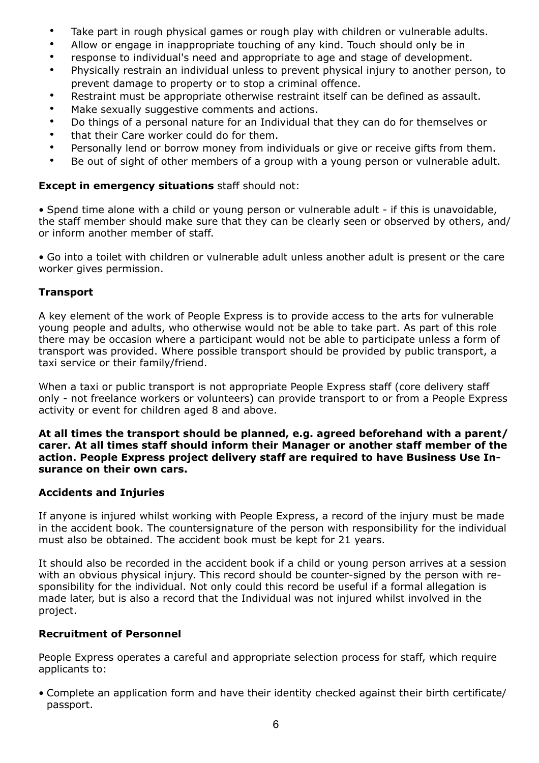- Take part in rough physical games or rough play with children or vulnerable adults.
- Allow or engage in inappropriate touching of any kind. Touch should only be in
- response to individual's need and appropriate to age and stage of development.
- Physically restrain an individual unless to prevent physical injury to another person, to prevent damage to property or to stop a criminal offence.
- Restraint must be appropriate otherwise restraint itself can be defined as assault.
- Make sexually suggestive comments and actions.
- Do things of a personal nature for an Individual that they can do for themselves or
- that their Care worker could do for them.
- Personally lend or borrow money from individuals or give or receive gifts from them.
- Be out of sight of other members of a group with a young person or vulnerable adult.

## **Except in emergency situations** staff should not:

• Spend time alone with a child or young person or vulnerable adult - if this is unavoidable, the staff member should make sure that they can be clearly seen or observed by others, and/ or inform another member of staff.

• Go into a toilet with children or vulnerable adult unless another adult is present or the care worker gives permission.

## **Transport**

A key element of the work of People Express is to provide access to the arts for vulnerable young people and adults, who otherwise would not be able to take part. As part of this role there may be occasion where a participant would not be able to participate unless a form of transport was provided. Where possible transport should be provided by public transport, a taxi service or their family/friend.

When a taxi or public transport is not appropriate People Express staff (core delivery staff only - not freelance workers or volunteers) can provide transport to or from a People Express activity or event for children aged 8 and above.

**At all times the transport should be planned, e.g. agreed beforehand with a parent/ carer. At all times staff should inform their Manager or another staff member of the action. People Express project delivery staff are required to have Business Use Insurance on their own cars.**

### **Accidents and Injuries**

If anyone is injured whilst working with People Express, a record of the injury must be made in the accident book. The countersignature of the person with responsibility for the individual must also be obtained. The accident book must be kept for 21 years.

It should also be recorded in the accident book if a child or young person arrives at a session with an obvious physical injury. This record should be counter-signed by the person with responsibility for the individual. Not only could this record be useful if a formal allegation is made later, but is also a record that the Individual was not injured whilst involved in the project.

## **Recruitment of Personnel**

People Express operates a careful and appropriate selection process for staff, which require applicants to:

• Complete an application form and have their identity checked against their birth certificate/ passport.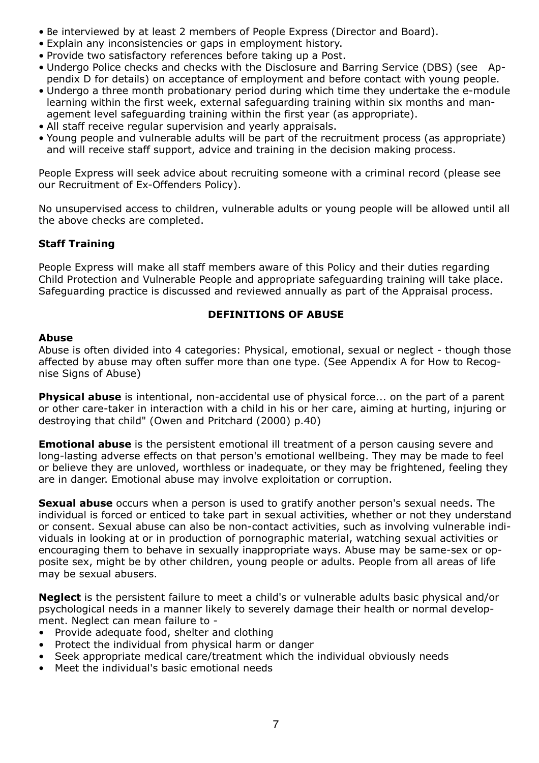- Be interviewed by at least 2 members of People Express (Director and Board).
- Explain any inconsistencies or gaps in employment history.
- Provide two satisfactory references before taking up a Post.
- Undergo Police checks and checks with the Disclosure and Barring Service (DBS) (see Appendix D for details) on acceptance of employment and before contact with young people.
- Undergo a three month probationary period during which time they undertake the e-module learning within the first week, external safeguarding training within six months and management level safeguarding training within the first year (as appropriate).
- All staff receive regular supervision and yearly appraisals.
- Young people and vulnerable adults will be part of the recruitment process (as appropriate) and will receive staff support, advice and training in the decision making process.

People Express will seek advice about recruiting someone with a criminal record (please see our Recruitment of Ex-Offenders Policy).

No unsupervised access to children, vulnerable adults or young people will be allowed until all the above checks are completed.

## **Staff Training**

People Express will make all staff members aware of this Policy and their duties regarding Child Protection and Vulnerable People and appropriate safeguarding training will take place. Safeguarding practice is discussed and reviewed annually as part of the Appraisal process.

### **DEFINITIONS OF ABUSE**

#### **Abuse**

Abuse is often divided into 4 categories: Physical, emotional, sexual or neglect - though those affected by abuse may often suffer more than one type. (See Appendix A for How to Recognise Signs of Abuse)

**Physical abuse** is intentional, non-accidental use of physical force... on the part of a parent or other care-taker in interaction with a child in his or her care, aiming at hurting, injuring or destroying that child" (Owen and Pritchard (2000) p.40)

**Emotional abuse** is the persistent emotional ill treatment of a person causing severe and long-lasting adverse effects on that person's emotional wellbeing. They may be made to feel or believe they are unloved, worthless or inadequate, or they may be frightened, feeling they are in danger. Emotional abuse may involve exploitation or corruption.

**Sexual abuse** occurs when a person is used to gratify another person's sexual needs. The individual is forced or enticed to take part in sexual activities, whether or not they understand or consent. Sexual abuse can also be non-contact activities, such as involving vulnerable individuals in looking at or in production of pornographic material, watching sexual activities or encouraging them to behave in sexually inappropriate ways. Abuse may be same-sex or opposite sex, might be by other children, young people or adults. People from all areas of life may be sexual abusers.

**Neglect** is the persistent failure to meet a child's or vulnerable adults basic physical and/or psychological needs in a manner likely to severely damage their health or normal development. Neglect can mean failure to -

- Provide adequate food, shelter and clothing
- Protect the individual from physical harm or danger
- Seek appropriate medical care/treatment which the individual obviously needs
- Meet the individual's basic emotional needs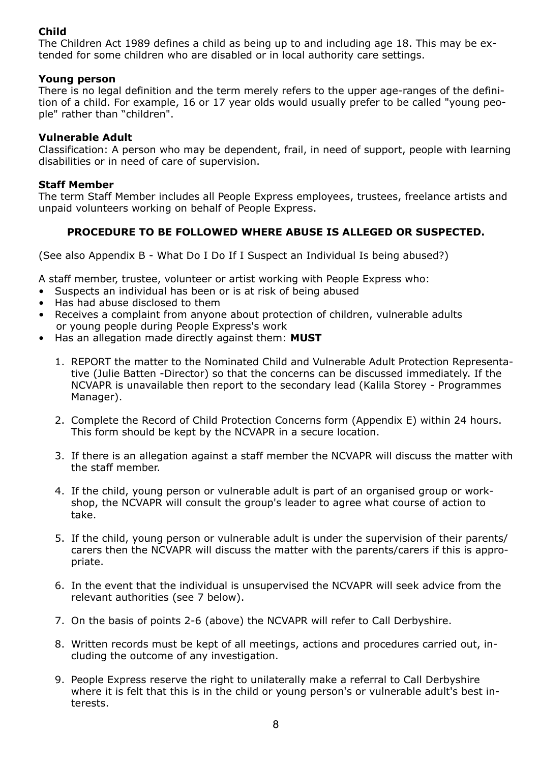## **Child**

The Children Act 1989 defines a child as being up to and including age 18. This may be extended for some children who are disabled or in local authority care settings.

#### **Young person**

There is no legal definition and the term merely refers to the upper age-ranges of the definition of a child. For example, 16 or 17 year olds would usually prefer to be called "young people" rather than "children".

#### **Vulnerable Adult**

Classification: A person who may be dependent, frail, in need of support, people with learning disabilities or in need of care of supervision.

#### **Staff Member**

The term Staff Member includes all People Express employees, trustees, freelance artists and unpaid volunteers working on behalf of People Express.

### **PROCEDURE TO BE FOLLOWED WHERE ABUSE IS ALLEGED OR SUSPECTED.**

(See also Appendix B - What Do I Do If I Suspect an Individual Is being abused?)

A staff member, trustee, volunteer or artist working with People Express who:

- Suspects an individual has been or is at risk of being abused
- Has had abuse disclosed to them
- Receives a complaint from anyone about protection of children, vulnerable adults or young people during People Express's work
- Has an allegation made directly against them: **MUST**
	- 1. REPORT the matter to the Nominated Child and Vulnerable Adult Protection Representative (Julie Batten -Director) so that the concerns can be discussed immediately. If the NCVAPR is unavailable then report to the secondary lead (Kalila Storey - Programmes Manager).
	- 2. Complete the Record of Child Protection Concerns form (Appendix E) within 24 hours. This form should be kept by the NCVAPR in a secure location.
	- 3. If there is an allegation against a staff member the NCVAPR will discuss the matter with the staff member.
	- 4. If the child, young person or vulnerable adult is part of an organised group or workshop, the NCVAPR will consult the group's leader to agree what course of action to take.
	- 5. If the child, young person or vulnerable adult is under the supervision of their parents/ carers then the NCVAPR will discuss the matter with the parents/carers if this is appropriate.
	- 6. In the event that the individual is unsupervised the NCVAPR will seek advice from the relevant authorities (see 7 below).
	- 7. On the basis of points 2-6 (above) the NCVAPR will refer to Call Derbyshire.
	- 8. Written records must be kept of all meetings, actions and procedures carried out, including the outcome of any investigation.
	- 9. People Express reserve the right to unilaterally make a referral to Call Derbyshire where it is felt that this is in the child or young person's or vulnerable adult's best interests.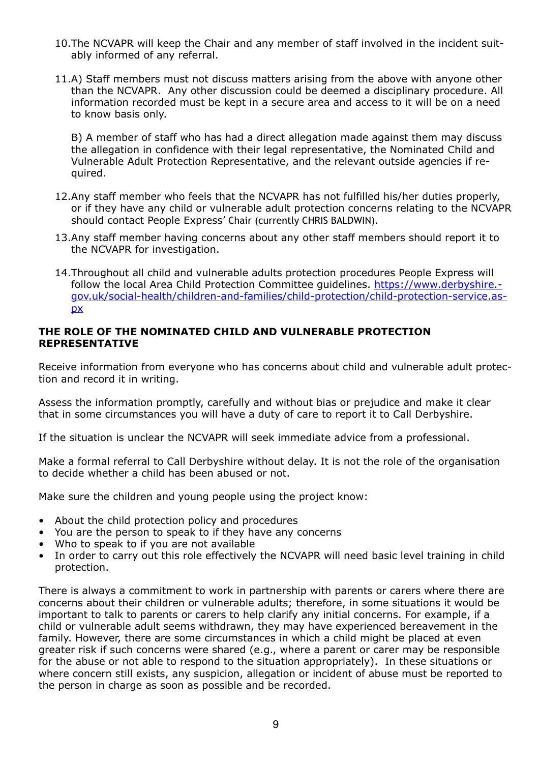- 10.The NCVAPR will keep the Chair and any member of staff involved in the incident suitably informed of any referral.
- 11.A) Staff members must not discuss matters arising from the above with anyone other than the NCVAPR. Any other discussion could be deemed a disciplinary procedure. All information recorded must be kept in a secure area and access to it will be on a need to know basis only.

B) A member of staff who has had a direct allegation made against them may discuss the allegation in confidence with their legal representative, the Nominated Child and Vulnerable Adult Protection Representative, and the relevant outside agencies if required.

- 12.Any staff member who feels that the NCVAPR has not fulfilled his/her duties properly, or if they have any child or vulnerable adult protection concerns relating to the NCVAPR should contact People Express' Chair (currently CHRIS BALDWIN).
- 13.Any staff member having concerns about any other staff members should report it to the NCVAPR for investigation.
- 14.Throughout all child and vulnerable adults protection procedures People Express will follow the local Area Child Protection Committee guidelines. [https://www.derbyshire.](https://www.derbyshire.gov.uk/social-health/children-and-families/child-protection/child-protection-service.aspx) [gov.uk/social-health/children-and-families/child-protection/child-protection-service.as](https://www.derbyshire.gov.uk/social-health/children-and-families/child-protection/child-protection-service.aspx)[px](https://www.derbyshire.gov.uk/social-health/children-and-families/child-protection/child-protection-service.aspx)

#### **THE ROLE OF THE NOMINATED CHILD AND VULNERABLE PROTECTION REPRESENTATIVE**

Receive information from everyone who has concerns about child and vulnerable adult protection and record it in writing.

Assess the information promptly, carefully and without bias or prejudice and make it clear that in some circumstances you will have a duty of care to report it to Call Derbyshire.

If the situation is unclear the NCVAPR will seek immediate advice from a professional.

Make a formal referral to Call Derbyshire without delay. It is not the role of the organisation to decide whether a child has been abused or not.

Make sure the children and young people using the project know:

- About the child protection policy and procedures
- You are the person to speak to if they have any concerns
- Who to speak to if you are not available
- In order to carry out this role effectively the NCVAPR will need basic level training in child protection.

There is always a commitment to work in partnership with parents or carers where there are concerns about their children or vulnerable adults; therefore, in some situations it would be important to talk to parents or carers to help clarify any initial concerns. For example, if a child or vulnerable adult seems withdrawn, they may have experienced bereavement in the family. However, there are some circumstances in which a child might be placed at even greater risk if such concerns were shared (e.g., where a parent or carer may be responsible for the abuse or not able to respond to the situation appropriately). In these situations or where concern still exists, any suspicion, allegation or incident of abuse must be reported to the person in charge as soon as possible and be recorded.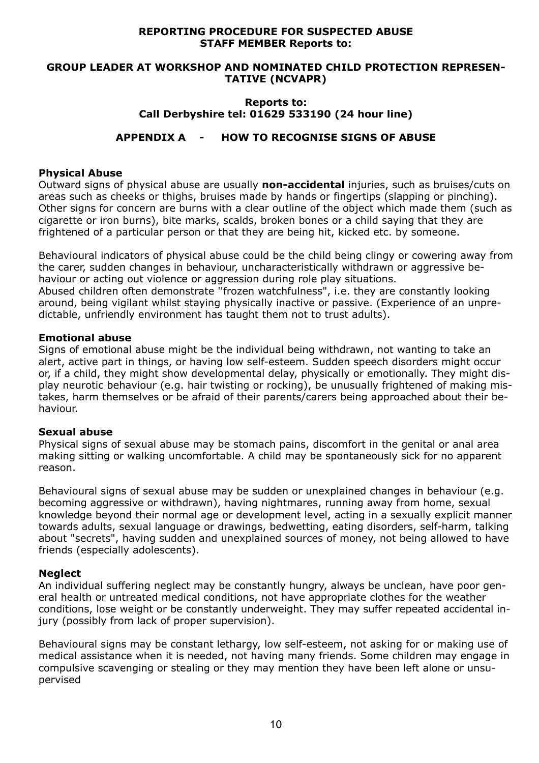#### **REPORTING PROCEDURE FOR SUSPECTED ABUSE STAFF MEMBER Reports to:**

#### **GROUP LEADER AT WORKSHOP AND NOMINATED CHILD PROTECTION REPRESEN-TATIVE (NCVAPR)**

#### **Reports to: Call Derbyshire tel: 01629 533190 (24 hour line)**

## **APPENDIX A - HOW TO RECOGNISE SIGNS OF ABUSE**

#### **Physical Abuse**

Outward signs of physical abuse are usually **non-accidental** injuries, such as bruises/cuts on areas such as cheeks or thighs, bruises made by hands or fingertips (slapping or pinching). Other signs for concern are burns with a clear outline of the object which made them (such as cigarette or iron burns), bite marks, scalds, broken bones or a child saying that they are frightened of a particular person or that they are being hit, kicked etc. by someone.

Behavioural indicators of physical abuse could be the child being clingy or cowering away from the carer, sudden changes in behaviour, uncharacteristically withdrawn or aggressive behaviour or acting out violence or aggression during role play situations. Abused children often demonstrate ''frozen watchfulness", i.e. they are constantly looking around, being vigilant whilst staying physically inactive or passive. (Experience of an unpredictable, unfriendly environment has taught them not to trust adults).

#### **Emotional abuse**

Signs of emotional abuse might be the individual being withdrawn, not wanting to take an alert, active part in things, or having low self-esteem. Sudden speech disorders might occur or, if a child, they might show developmental delay, physically or emotionally. They might display neurotic behaviour (e.g. hair twisting or rocking), be unusually frightened of making mistakes, harm themselves or be afraid of their parents/carers being approached about their behaviour.

#### **Sexual abuse**

Physical signs of sexual abuse may be stomach pains, discomfort in the genital or anal area making sitting or walking uncomfortable. A child may be spontaneously sick for no apparent reason.

Behavioural signs of sexual abuse may be sudden or unexplained changes in behaviour (e.g. becoming aggressive or withdrawn), having nightmares, running away from home, sexual knowledge beyond their normal age or development level, acting in a sexually explicit manner towards adults, sexual language or drawings, bedwetting, eating disorders, self-harm, talking about "secrets", having sudden and unexplained sources of money, not being allowed to have friends (especially adolescents).

### **Neglect**

An individual suffering neglect may be constantly hungry, always be unclean, have poor general health or untreated medical conditions, not have appropriate clothes for the weather conditions, lose weight or be constantly underweight. They may suffer repeated accidental injury (possibly from lack of proper supervision).

Behavioural signs may be constant lethargy, low self-esteem, not asking for or making use of medical assistance when it is needed, not having many friends. Some children may engage in compulsive scavenging or stealing or they may mention they have been left alone or unsupervised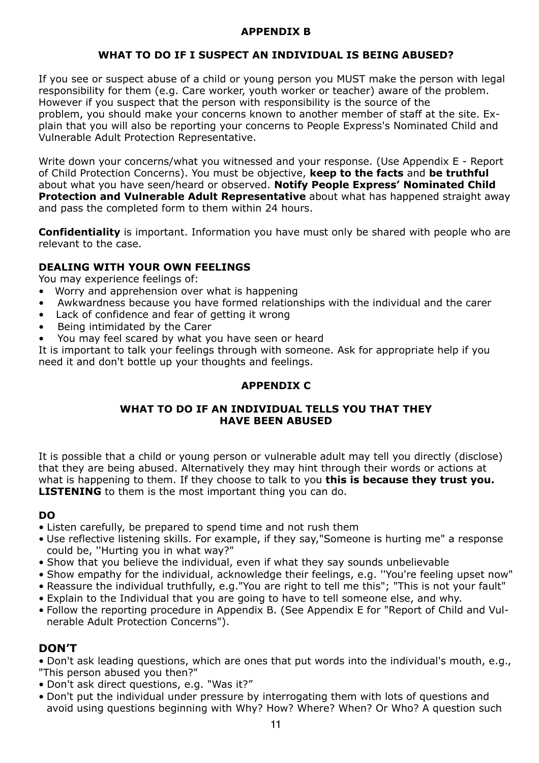### **APPENDIX B**

## **WHAT TO DO IF I SUSPECT AN INDIVIDUAL IS BEING ABUSED?**

If you see or suspect abuse of a child or young person you MUST make the person with legal responsibility for them (e.g. Care worker, youth worker or teacher) aware of the problem. However if you suspect that the person with responsibility is the source of the problem, you should make your concerns known to another member of staff at the site. Explain that you will also be reporting your concerns to People Express's Nominated Child and Vulnerable Adult Protection Representative.

Write down your concerns/what you witnessed and your response. (Use Appendix E - Report of Child Protection Concerns). You must be objective, **keep to the facts** and **be truthful**  about what you have seen/heard or observed. **Notify People Express' Nominated Child Protection and Vulnerable Adult Representative** about what has happened straight away and pass the completed form to them within 24 hours.

**Confidentiality** is important. Information you have must only be shared with people who are relevant to the case.

## **DEALING WITH YOUR OWN FEELINGS**

You may experience feelings of:

- Worry and apprehension over what is happening
- Awkwardness because you have formed relationships with the individual and the carer
- Lack of confidence and fear of getting it wrong
- Being intimidated by the Carer
- You may feel scared by what you have seen or heard

It is important to talk your feelings through with someone. Ask for appropriate help if you need it and don't bottle up your thoughts and feelings.

## **APPENDIX C**

### **WHAT TO DO IF AN INDIVIDUAL TELLS YOU THAT THEY HAVE BEEN ABUSED**

It is possible that a child or young person or vulnerable adult may tell you directly (disclose) that they are being abused. Alternatively they may hint through their words or actions at what is happening to them. If they choose to talk to you **this is because they trust you. LISTENING** to them is the most important thing you can do.

### **DO**

- Listen carefully, be prepared to spend time and not rush them
- Use reflective listening skills. For example, if they say,"Someone is hurting me" a response could be, ''Hurting you in what way?"
- Show that you believe the individual, even if what they say sounds unbelievable
- Show empathy for the individual, acknowledge their feelings, e.g. ''You're feeling upset now"
- Reassure the individual truthfully, e.g."You are right to tell me this"; "This is not your fault"
- Explain to the Individual that you are going to have to tell someone else, and why.
- Follow the reporting procedure in Appendix B. (See Appendix E for "Report of Child and Vulnerable Adult Protection Concerns").

## **DON'T**

- Don't ask leading questions, which are ones that put words into the individual's mouth, e.g., "This person abused you then?"
- Don't ask direct questions, e.g. "Was it?"
- Don't put the individual under pressure by interrogating them with lots of questions and avoid using questions beginning with Why? How? Where? When? Or Who? A question such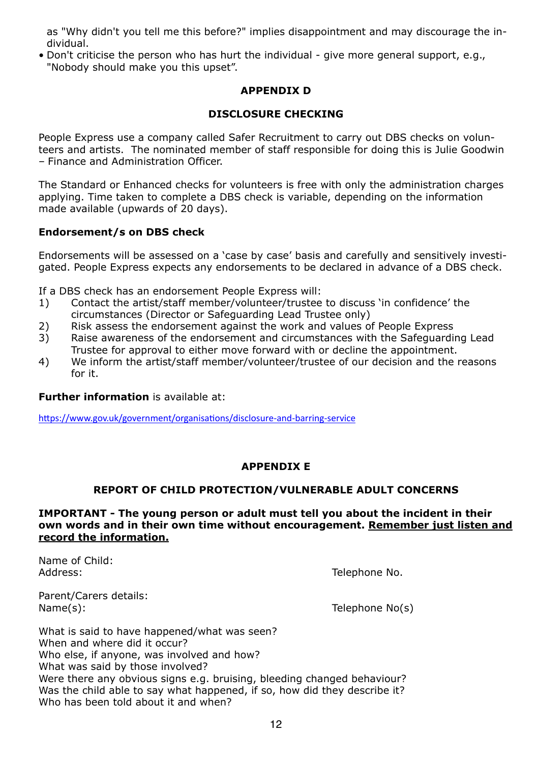as "Why didn't you tell me this before?" implies disappointment and may discourage the individual.

• Don't criticise the person who has hurt the individual - give more general support, e.g., "Nobody should make you this upset".

### **APPENDIX D**

### **DISCLOSURE CHECKING**

People Express use a company called Safer Recruitment to carry out DBS checks on volunteers and artists. The nominated member of staff responsible for doing this is Julie Goodwin – Finance and Administration Officer.

The Standard or Enhanced checks for volunteers is free with only the administration charges applying. Time taken to complete a DBS check is variable, depending on the information made available (upwards of 20 days).

### **Endorsement/s on DBS check**

Endorsements will be assessed on a 'case by case' basis and carefully and sensitively investigated. People Express expects any endorsements to be declared in advance of a DBS check.

If a DBS check has an endorsement People Express will:

- 1) Contact the artist/staff member/volunteer/trustee to discuss 'in confidence' the circumstances (Director or Safeguarding Lead Trustee only)
- 2) Risk assess the endorsement against the work and values of People Express
- 3) Raise awareness of the endorsement and circumstances with the Safeguarding Lead Trustee for approval to either move forward with or decline the appointment.
- 4) We inform the artist/staff member/volunteer/trustee of our decision and the reasons for it.

#### **Further information** is available at:

<https://www.gov.uk/government/organisations/disclosure-and-barring-service>

### **APPENDIX E**

### **REPORT OF CHILD PROTECTION/VULNERABLE ADULT CONCERNS**

#### **IMPORTANT - The young person or adult must tell you about the incident in their own words and in their own time without encouragement. Remember just listen and record the information.**

Name of Child: Address: Telephone No.

Parent/Carers details: Name(s): Telephone No(s)

What is said to have happened/what was seen? When and where did it occur? Who else, if anyone, was involved and how? What was said by those involved? Were there any obvious signs e.g. bruising, bleeding changed behaviour? Was the child able to say what happened, if so, how did they describe it? Who has been told about it and when?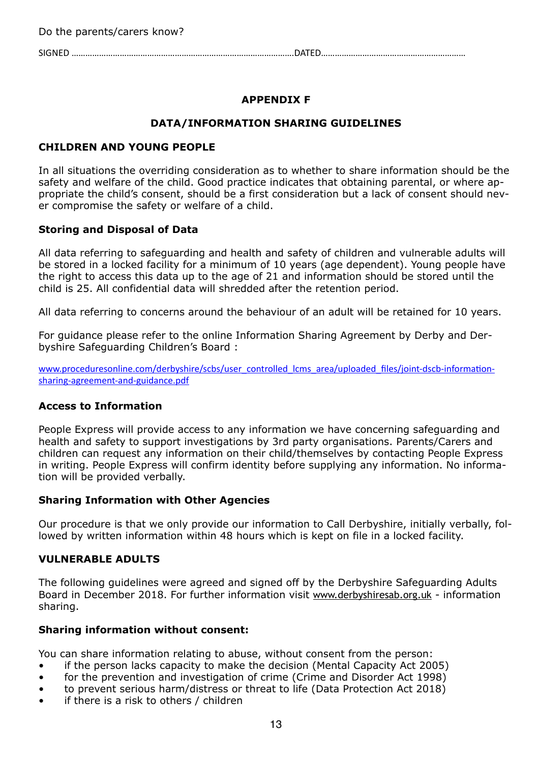SIGNED …………………………………………………………………………………….DATED………………………………………………………

# **APPENDIX F**

## **DATA/INFORMATION SHARING GUIDELINES**

## **CHILDREN AND YOUNG PEOPLE**

In all situations the overriding consideration as to whether to share information should be the safety and welfare of the child. Good practice indicates that obtaining parental, or where appropriate the child's consent, should be a first consideration but a lack of consent should never compromise the safety or welfare of a child.

### **Storing and Disposal of Data**

All data referring to safeguarding and health and safety of children and vulnerable adults will be stored in a locked facility for a minimum of 10 years (age dependent). Young people have the right to access this data up to the age of 21 and information should be stored until the child is 25. All confidential data will shredded after the retention period.

All data referring to concerns around the behaviour of an adult will be retained for 10 years.

For guidance please refer to the online Information Sharing Agreement by Derby and Derbyshire Safeguarding Children's Board :

[www.proceduresonline.com/derbyshire/scbs/user\\_controlled\\_lcms\\_area/uploaded\\_files/joint-dscb-information](http://www.proceduresonline.com/derbyshire/scbs/user_controlled_lcms_area/uploaded_files/joint-dscb-information-sharing-agreement-and-guidance.pdf)[sharing-agreement-and-guidance.pdf](http://www.proceduresonline.com/derbyshire/scbs/user_controlled_lcms_area/uploaded_files/joint-dscb-information-sharing-agreement-and-guidance.pdf)

### **Access to Information**

People Express will provide access to any information we have concerning safeguarding and health and safety to support investigations by 3rd party organisations. Parents/Carers and children can request any information on their child/themselves by contacting People Express in writing. People Express will confirm identity before supplying any information. No information will be provided verbally.

### **Sharing Information with Other Agencies**

Our procedure is that we only provide our information to Call Derbyshire, initially verbally, followed by written information within 48 hours which is kept on file in a locked facility.

#### **VULNERABLE ADULTS**

The following guidelines were agreed and signed off by the Derbyshire Safeguarding Adults Board in December 2018. For further information visit [www.derbyshiresab.org.uk](http://www.derbyshiresab.org.uk) - information sharing.

#### **Sharing information without consent:**

You can share information relating to abuse, without consent from the person:

- if the person lacks capacity to make the decision (Mental Capacity Act 2005)
- for the prevention and investigation of crime (Crime and Disorder Act 1998)
- to prevent serious harm/distress or threat to life (Data Protection Act 2018)
- if there is a risk to others  $\ell$  children